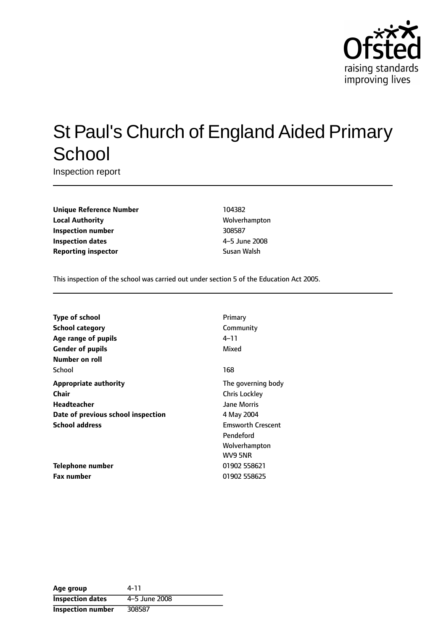

# St Paul's Church of England Aided Primary **School**

Inspection report

**Unique Reference Number** 104382 **Local Authority** Molverhampton **Inspection number** 308587 **Inspection dates** 4-5 June 2008 **Reporting inspector Susan Walsh** Susan Walsh

This inspection of the school was carried out under section 5 of the Education Act 2005.

| Type of school                     | Primary                  |
|------------------------------------|--------------------------|
| <b>School category</b>             | Community                |
| Age range of pupils                | 4–11                     |
| <b>Gender of pupils</b>            | Mixed                    |
| Number on roll                     |                          |
| School                             | 168                      |
| <b>Appropriate authority</b>       | The governing body       |
| Chair                              | <b>Chris Lockley</b>     |
| <b>Headteacher</b>                 | <b>Jane Morris</b>       |
| Date of previous school inspection | 4 May 2004               |
| <b>School address</b>              | <b>Emsworth Crescent</b> |
|                                    | Pendeford                |
|                                    | Wolverhampton            |
|                                    | WV9 5NR                  |
| Telephone number                   | 01902 558621             |
| <b>Fax number</b>                  | 01902 558625             |

| Age group                | 4-11          |
|--------------------------|---------------|
| <b>Inspection dates</b>  | 4-5 June 2008 |
| <b>Inspection number</b> | 308587        |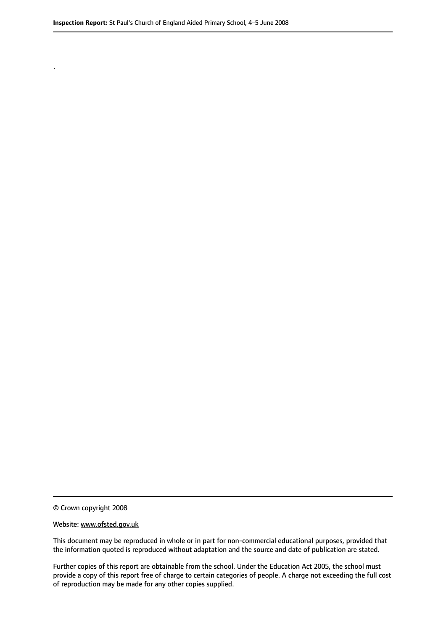© Crown copyright 2008

.

#### Website: www.ofsted.gov.uk

This document may be reproduced in whole or in part for non-commercial educational purposes, provided that the information quoted is reproduced without adaptation and the source and date of publication are stated.

Further copies of this report are obtainable from the school. Under the Education Act 2005, the school must provide a copy of this report free of charge to certain categories of people. A charge not exceeding the full cost of reproduction may be made for any other copies supplied.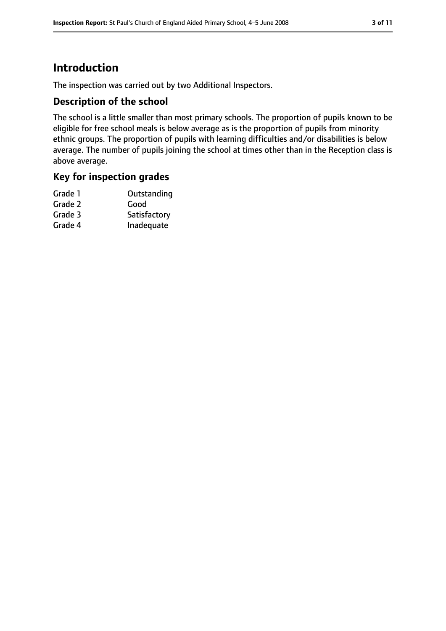# **Introduction**

The inspection was carried out by two Additional Inspectors.

### **Description of the school**

The school is a little smaller than most primary schools. The proportion of pupils known to be eligible for free school meals is below average as is the proportion of pupils from minority ethnic groups. The proportion of pupils with learning difficulties and/or disabilities is below average. The number of pupils joining the school at times other than in the Reception class is above average.

### **Key for inspection grades**

| Grade 1 | Outstanding  |
|---------|--------------|
| Grade 2 | Good         |
| Grade 3 | Satisfactory |
| Grade 4 | Inadequate   |
|         |              |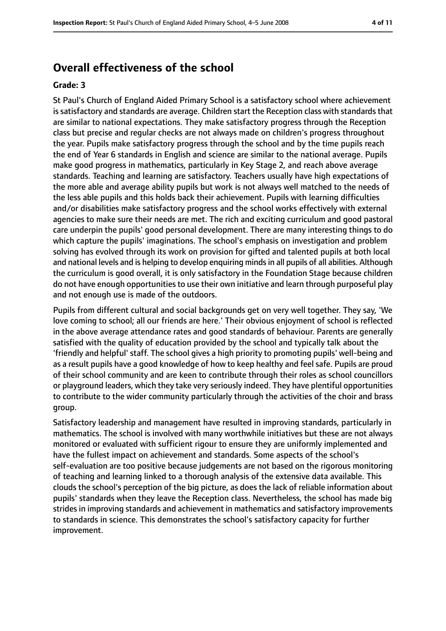# **Overall effectiveness of the school**

#### **Grade: 3**

St Paul's Church of England Aided Primary School is a satisfactory school where achievement is satisfactory and standards are average. Children start the Reception class with standards that are similar to national expectations. They make satisfactory progress through the Reception class but precise and regular checks are not always made on children's progress throughout the year. Pupils make satisfactory progress through the school and by the time pupils reach the end of Year 6 standards in English and science are similar to the national average. Pupils make good progress in mathematics, particularly in Key Stage 2, and reach above average standards. Teaching and learning are satisfactory. Teachers usually have high expectations of the more able and average ability pupils but work is not always well matched to the needs of the less able pupils and this holds back their achievement. Pupils with learning difficulties and/or disabilities make satisfactory progress and the school works effectively with external agencies to make sure their needs are met. The rich and exciting curriculum and good pastoral care underpin the pupils' good personal development. There are many interesting things to do which capture the pupils' imaginations. The school's emphasis on investigation and problem solving has evolved through its work on provision for gifted and talented pupils at both local and national levels and is helping to develop enquiring mindsin all pupils of all abilities. Although the curriculum is good overall, it is only satisfactory in the Foundation Stage because children do not have enough opportunities to use their own initiative and learn through purposeful play and not enough use is made of the outdoors.

Pupils from different cultural and social backgrounds get on very well together. They say, 'We love coming to school; all our friends are here.' Their obvious enjoyment of school is reflected in the above average attendance rates and good standards of behaviour. Parents are generally satisfied with the quality of education provided by the school and typically talk about the 'friendly and helpful' staff. The school gives a high priority to promoting pupils' well-being and as a result pupils have a good knowledge of how to keep healthy and feel safe. Pupils are proud of their school community and are keen to contribute through their roles as school councillors or playground leaders, which they take very seriously indeed. They have plentiful opportunities to contribute to the wider community particularly through the activities of the choir and brass group.

Satisfactory leadership and management have resulted in improving standards, particularly in mathematics. The school is involved with many worthwhile initiatives but these are not always monitored or evaluated with sufficient rigour to ensure they are uniformly implemented and have the fullest impact on achievement and standards. Some aspects of the school's self-evaluation are too positive because judgements are not based on the rigorous monitoring of teaching and learning linked to a thorough analysis of the extensive data available. This clouds the school's perception of the big picture, as does the lack of reliable information about pupils' standards when they leave the Reception class. Nevertheless, the school has made big strides in improving standards and achievement in mathematics and satisfactory improvements to standards in science. This demonstrates the school's satisfactory capacity for further improvement.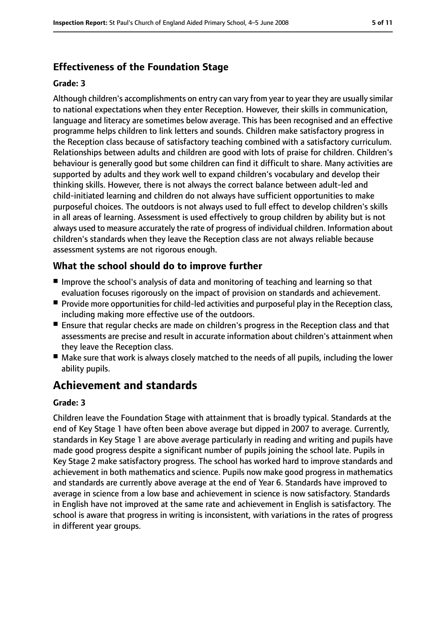# **Effectiveness of the Foundation Stage**

#### **Grade: 3**

Although children's accomplishments on entry can vary from year to year they are usually similar to national expectations when they enter Reception. However, their skills in communication, language and literacy are sometimes below average. This has been recognised and an effective programme helps children to link letters and sounds. Children make satisfactory progress in the Reception class because of satisfactory teaching combined with a satisfactory curriculum. Relationships between adults and children are good with lots of praise for children. Children's behaviour is generally good but some children can find it difficult to share. Many activities are supported by adults and they work well to expand children's vocabulary and develop their thinking skills. However, there is not always the correct balance between adult-led and child-initiated learning and children do not always have sufficient opportunities to make purposeful choices. The outdoors is not always used to full effect to develop children's skills in all areas of learning. Assessment is used effectively to group children by ability but is not always used to measure accurately the rate of progress of individual children. Information about children's standards when they leave the Reception class are not always reliable because assessment systems are not rigorous enough.

# **What the school should do to improve further**

- Improve the school's analysis of data and monitoring of teaching and learning so that evaluation focuses rigorously on the impact of provision on standards and achievement.
- Provide more opportunities for child-led activities and purposeful play in the Reception class, including making more effective use of the outdoors.
- Ensure that regular checks are made on children's progress in the Reception class and that assessments are precise and result in accurate information about children's attainment when they leave the Reception class.
- Make sure that work is always closely matched to the needs of all pupils, including the lower ability pupils.

# **Achievement and standards**

#### **Grade: 3**

Children leave the Foundation Stage with attainment that is broadly typical. Standards at the end of Key Stage 1 have often been above average but dipped in 2007 to average. Currently, standards in Key Stage 1 are above average particularly in reading and writing and pupils have made good progress despite a significant number of pupils joining the school late. Pupils in Key Stage 2 make satisfactory progress. The school has worked hard to improve standards and achievement in both mathematics and science. Pupils now make good progress in mathematics and standards are currently above average at the end of Year 6. Standards have improved to average in science from a low base and achievement in science is now satisfactory. Standards in English have not improved at the same rate and achievement in English is satisfactory. The school is aware that progress in writing is inconsistent, with variations in the rates of progress in different year groups.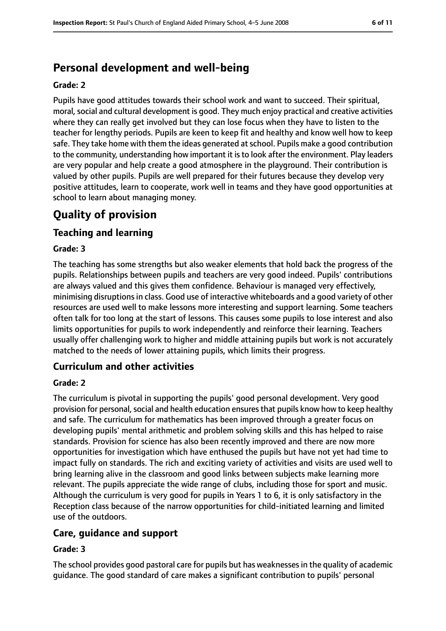# **Personal development and well-being**

#### **Grade: 2**

Pupils have good attitudes towards their school work and want to succeed. Their spiritual, moral, social and cultural development is good. They much enjoy practical and creative activities where they can really get involved but they can lose focus when they have to listen to the teacher for lengthy periods. Pupils are keen to keep fit and healthy and know well how to keep safe. They take home with them the ideas generated at school. Pupils make a good contribution to the community, understanding how important it isto look after the environment. Play leaders are very popular and help create a good atmosphere in the playground. Their contribution is valued by other pupils. Pupils are well prepared for their futures because they develop very positive attitudes, learn to cooperate, work well in teams and they have good opportunities at school to learn about managing money.

# **Quality of provision**

### **Teaching and learning**

#### **Grade: 3**

The teaching has some strengths but also weaker elements that hold back the progress of the pupils. Relationships between pupils and teachers are very good indeed. Pupils' contributions are always valued and this gives them confidence. Behaviour is managed very effectively, minimising disruptionsin class. Good use of interactive whiteboards and a good variety of other resources are used well to make lessons more interesting and support learning. Some teachers often talk for too long at the start of lessons. This causes some pupils to lose interest and also limits opportunities for pupils to work independently and reinforce their learning. Teachers usually offer challenging work to higher and middle attaining pupils but work is not accurately matched to the needs of lower attaining pupils, which limits their progress.

# **Curriculum and other activities**

#### **Grade: 2**

The curriculum is pivotal in supporting the pupils' good personal development. Very good provision for personal, social and health education ensures that pupils know how to keep healthy and safe. The curriculum for mathematics has been improved through a greater focus on developing pupils' mental arithmetic and problem solving skills and this has helped to raise standards. Provision for science has also been recently improved and there are now more opportunities for investigation which have enthused the pupils but have not yet had time to impact fully on standards. The rich and exciting variety of activities and visits are used well to bring learning alive in the classroom and good links between subjects make learning more relevant. The pupils appreciate the wide range of clubs, including those for sport and music. Although the curriculum is very good for pupils in Years 1 to 6, it is only satisfactory in the Reception class because of the narrow opportunities for child-initiated learning and limited use of the outdoors.

### **Care, guidance and support**

#### **Grade: 3**

The school provides good pastoral care for pupils but has weaknessesin the quality of academic guidance. The good standard of care makes a significant contribution to pupils' personal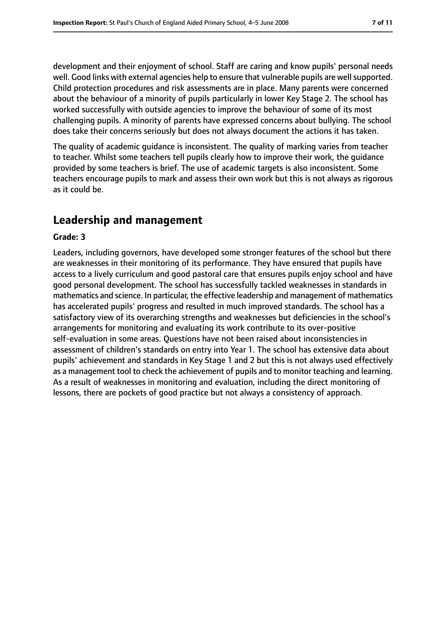development and their enjoyment of school. Staff are caring and know pupils' personal needs well. Good links with external agencies help to ensure that vulnerable pupils are well supported. Child protection procedures and risk assessments are in place. Many parents were concerned about the behaviour of a minority of pupils particularly in lower Key Stage 2. The school has worked successfully with outside agencies to improve the behaviour of some of its most challenging pupils. A minority of parents have expressed concerns about bullying. The school does take their concerns seriously but does not always document the actions it has taken.

The quality of academic guidance is inconsistent. The quality of marking varies from teacher to teacher. Whilst some teachers tell pupils clearly how to improve their work, the guidance provided by some teachers is brief. The use of academic targets is also inconsistent. Some teachers encourage pupils to mark and assess their own work but this is not always as rigorous as it could be.

# **Leadership and management**

#### **Grade: 3**

Leaders, including governors, have developed some stronger features of the school but there are weaknesses in their monitoring of its performance. They have ensured that pupils have access to a lively curriculum and good pastoral care that ensures pupils enjoy school and have good personal development. The school has successfully tackled weaknesses in standards in mathematics and science. In particular, the effective leadership and management of mathematics has accelerated pupils' progress and resulted in much improved standards. The school has a satisfactory view of its overarching strengths and weaknesses but deficiencies in the school's arrangements for monitoring and evaluating its work contribute to its over-positive self-evaluation in some areas. Questions have not been raised about inconsistencies in assessment of children's standards on entry into Year 1. The school has extensive data about pupils' achievement and standards in Key Stage 1 and 2 but this is not always used effectively as a management tool to check the achievement of pupils and to monitor teaching and learning. As a result of weaknesses in monitoring and evaluation, including the direct monitoring of lessons, there are pockets of good practice but not always a consistency of approach.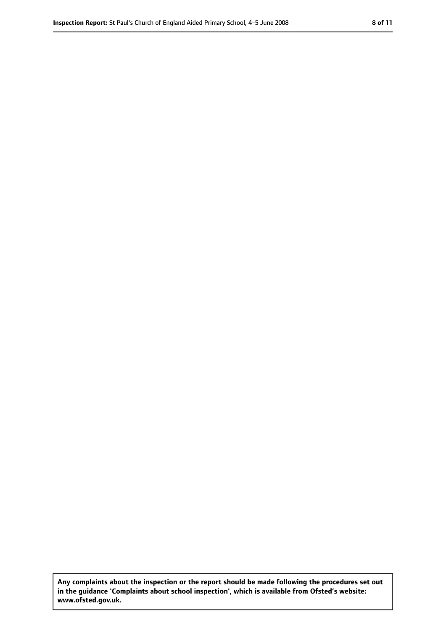**Any complaints about the inspection or the report should be made following the procedures set out in the guidance 'Complaints about school inspection', which is available from Ofsted's website: www.ofsted.gov.uk.**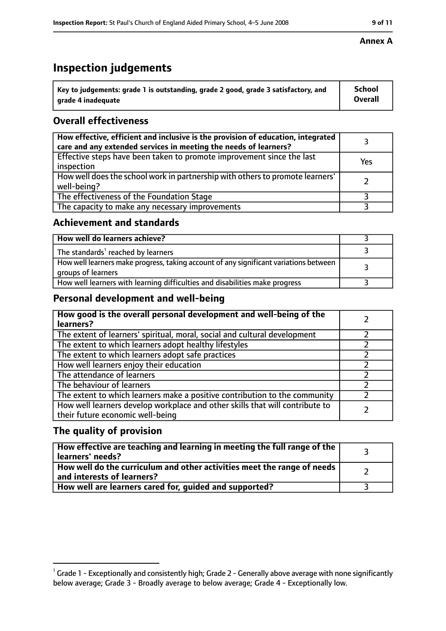# **Inspection judgements**

| $^{\backprime}$ Key to judgements: grade 1 is outstanding, grade 2 good, grade 3 satisfactory, and | <b>School</b>  |
|----------------------------------------------------------------------------------------------------|----------------|
| arade 4 inadeguate                                                                                 | <b>Overall</b> |

# **Overall effectiveness**

| How effective, efficient and inclusive is the provision of education, integrated<br>care and any extended services in meeting the needs of learners? |     |
|------------------------------------------------------------------------------------------------------------------------------------------------------|-----|
| Effective steps have been taken to promote improvement since the last<br>inspection                                                                  | Yes |
| How well does the school work in partnership with others to promote learners'<br>well-being?                                                         |     |
| The effectiveness of the Foundation Stage                                                                                                            |     |
| The capacity to make any necessary improvements                                                                                                      |     |

### **Achievement and standards**

| How well do learners achieve?                                                                               |  |
|-------------------------------------------------------------------------------------------------------------|--|
| The standards <sup>1</sup> reached by learners                                                              |  |
| How well learners make progress, taking account of any significant variations between<br>groups of learners |  |
| How well learners with learning difficulties and disabilities make progress                                 |  |

# **Personal development and well-being**

| How good is the overall personal development and well-being of the<br>learners?                                  |  |
|------------------------------------------------------------------------------------------------------------------|--|
| The extent of learners' spiritual, moral, social and cultural development                                        |  |
| The extent to which learners adopt healthy lifestyles                                                            |  |
| The extent to which learners adopt safe practices                                                                |  |
| How well learners enjoy their education                                                                          |  |
| The attendance of learners                                                                                       |  |
| The behaviour of learners                                                                                        |  |
| The extent to which learners make a positive contribution to the community                                       |  |
| How well learners develop workplace and other skills that will contribute to<br>their future economic well-being |  |

# **The quality of provision**

| How effective are teaching and learning in meeting the full range of the<br>learners' needs?          |  |
|-------------------------------------------------------------------------------------------------------|--|
| How well do the curriculum and other activities meet the range of needs<br>and interests of learners? |  |
| How well are learners cared for, quided and supported?                                                |  |

#### **Annex A**

 $^1$  Grade 1 - Exceptionally and consistently high; Grade 2 - Generally above average with none significantly below average; Grade 3 - Broadly average to below average; Grade 4 - Exceptionally low.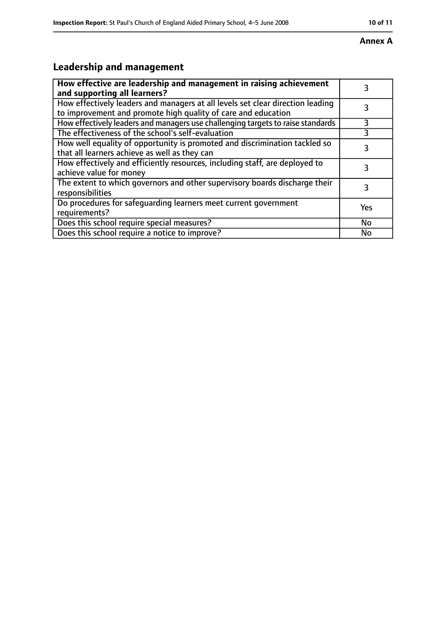#### **Annex A**

# **Leadership and management**

| How effective are leadership and management in raising achievement<br>and supporting all learners?                                              |     |
|-------------------------------------------------------------------------------------------------------------------------------------------------|-----|
| How effectively leaders and managers at all levels set clear direction leading<br>to improvement and promote high quality of care and education |     |
| How effectively leaders and managers use challenging targets to raise standards                                                                 | 3   |
| The effectiveness of the school's self-evaluation                                                                                               | 3   |
| How well equality of opportunity is promoted and discrimination tackled so<br>that all learners achieve as well as they can                     | 3   |
| How effectively and efficiently resources, including staff, are deployed to<br>achieve value for money                                          | 3   |
| The extent to which governors and other supervisory boards discharge their<br>responsibilities                                                  |     |
| Do procedures for safequarding learners meet current government<br>requirements?                                                                | Yes |
| Does this school require special measures?                                                                                                      | No  |
| Does this school require a notice to improve?                                                                                                   | No  |